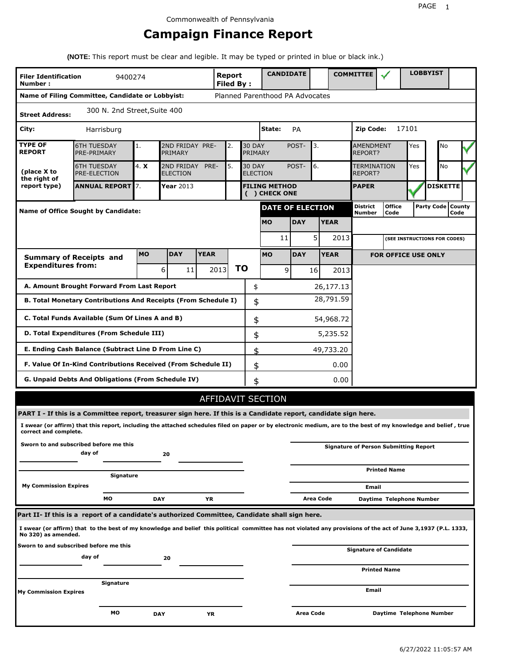## **Campaign Finance Report**

**(NOTE:** This report must be clear and legible. It may be typed or printed in blue or black ink.)

| <b>Filer Identification</b><br>Number: | 9400274                                                                                                                                                         |            |                            |             | Report<br><b>Filed By:</b> |                          | <b>CANDIDATE</b>                |                               |                  |           | <b>COMMITTEE</b>                   |                                              |       | <b>LOBBYIST</b>              |                             |
|----------------------------------------|-----------------------------------------------------------------------------------------------------------------------------------------------------------------|------------|----------------------------|-------------|----------------------------|--------------------------|---------------------------------|-------------------------------|------------------|-----------|------------------------------------|----------------------------------------------|-------|------------------------------|-----------------------------|
|                                        | Name of Filing Committee, Candidate or Lobbyist:                                                                                                                |            |                            |             |                            |                          | Planned Parenthood PA Advocates |                               |                  |           |                                    |                                              |       |                              |                             |
| <b>Street Address:</b>                 | 300 N. 2nd Street, Suite 400                                                                                                                                    |            |                            |             |                            |                          |                                 |                               |                  |           |                                    |                                              |       |                              |                             |
| City:                                  | Harrisburg                                                                                                                                                      |            |                            |             |                            |                          | State:                          | PA                            |                  |           | Zip Code:                          |                                              | 17101 |                              |                             |
| <b>TYPE OF</b><br><b>REPORT</b>        | <b>6TH TUESDAY</b><br>PRE-PRIMARY                                                                                                                               | 1.         | 2ND FRIDAY PRE-<br>PRIMARY |             | 2.                         | <b>30 DAY</b><br>PRIMARY |                                 | POST-                         | 3.               |           | <b>AMENDMENT</b><br><b>REPORT?</b> | No                                           |       |                              |                             |
| (place X to<br>the right of            | 4. X<br><b>6TH TUESDAY</b><br>2ND FRIDAY<br>PRE-<br>5.<br><b>30 DAY</b><br>POST-<br>6.<br>PRE-ELECTION<br><b>ELECTION</b><br><b>ELECTION</b>                    |            |                            |             |                            |                          |                                 | <b>TERMINATION</b><br>REPORT? |                  | Yes       | No                                 |                                              |       |                              |                             |
| report type)                           | <b>ANNUAL REPORT</b> 7.<br>Year 2013<br><b>FILING METHOD</b><br>( ) CHECK ONE                                                                                   |            |                            |             |                            |                          |                                 | <b>PAPER</b>                  |                  |           | <b>DISKETTE</b>                    |                                              |       |                              |                             |
|                                        | <b>Name of Office Sought by Candidate:</b>                                                                                                                      |            |                            |             |                            |                          | <b>DATE OF ELECTION</b>         |                               |                  |           | <b>District</b><br>Number          | <b>Office</b><br>Code                        |       |                              | Party Code   County<br>Code |
|                                        |                                                                                                                                                                 |            |                            |             |                            |                          | <b>MO</b>                       | <b>DAY</b>                    | <b>YEAR</b>      |           |                                    |                                              |       |                              |                             |
|                                        |                                                                                                                                                                 |            |                            |             |                            |                          | 11                              |                               | 5                | 2013      |                                    |                                              |       | (SEE INSTRUCTIONS FOR CODES) |                             |
|                                        | <b>Summary of Receipts and</b>                                                                                                                                  | <b>MO</b>  | <b>DAY</b>                 | <b>YEAR</b> |                            |                          | <b>MO</b>                       | <b>DAY</b>                    | <b>YEAR</b>      |           |                                    | <b>FOR OFFICE USE ONLY</b>                   |       |                              |                             |
| <b>Expenditures from:</b>              |                                                                                                                                                                 |            | 6<br>11                    |             | 2013                       | ΤO                       | 9                               |                               | 16               | 2013      |                                    |                                              |       |                              |                             |
|                                        | A. Amount Brought Forward From Last Report                                                                                                                      |            |                            |             |                            | \$                       |                                 |                               |                  | 26,177.13 |                                    |                                              |       |                              |                             |
|                                        | B. Total Monetary Contributions And Receipts (From Schedule I)                                                                                                  |            |                            |             |                            | \$                       |                                 |                               |                  | 28,791.59 |                                    |                                              |       |                              |                             |
|                                        | C. Total Funds Available (Sum Of Lines A and B)                                                                                                                 |            |                            |             |                            | \$                       |                                 |                               |                  | 54,968.72 |                                    |                                              |       |                              |                             |
|                                        | D. Total Expenditures (From Schedule III)                                                                                                                       |            |                            |             |                            | \$                       |                                 |                               |                  | 5,235.52  |                                    |                                              |       |                              |                             |
|                                        | E. Ending Cash Balance (Subtract Line D From Line C)                                                                                                            |            |                            |             |                            | \$                       |                                 |                               |                  | 49,733.20 |                                    |                                              |       |                              |                             |
|                                        | F. Value Of In-Kind Contributions Received (From Schedule II)                                                                                                   |            |                            |             |                            | \$                       |                                 |                               |                  | 0.00      |                                    |                                              |       |                              |                             |
|                                        | <b>G. Unpaid Debts And Obligations (From Schedule IV)</b>                                                                                                       |            |                            |             |                            | \$                       |                                 |                               |                  | 0.00      |                                    |                                              |       |                              |                             |
|                                        |                                                                                                                                                                 |            |                            |             |                            |                          | <b>AFFIDAVIT SECTION</b>        |                               |                  |           |                                    |                                              |       |                              |                             |
|                                        | PART I - If this is a Committee report, treasurer sign here. If this is a Candidate report, candidate sign here.                                                |            |                            |             |                            |                          |                                 |                               |                  |           |                                    |                                              |       |                              |                             |
| correct and complete.                  | I swear (or affirm) that this report, including the attached schedules filed on paper or by electronic medium, are to the best of my knowledge and belief, true |            |                            |             |                            |                          |                                 |                               |                  |           |                                    |                                              |       |                              |                             |
|                                        | Sworn to and subscribed before me this<br>day of                                                                                                                |            | 20                         |             |                            |                          |                                 |                               |                  |           |                                    | <b>Signature of Person Submitting Report</b> |       |                              |                             |
|                                        | Signature                                                                                                                                                       |            |                            |             |                            |                          |                                 |                               |                  |           |                                    | <b>Printed Name</b>                          |       |                              |                             |
| <b>My Commission Expires</b>           |                                                                                                                                                                 |            |                            |             |                            |                          |                                 |                               |                  |           | Email                              |                                              |       |                              |                             |
|                                        | MО                                                                                                                                                              | <b>DAY</b> |                            | ΥR          |                            |                          |                                 |                               | <b>Area Code</b> |           |                                    | Daytime Telephone Number                     |       |                              |                             |
|                                        | Part II- If this is a report of a candidate's authorized Committee, Candidate shall sign here.                                                                  |            |                            |             |                            |                          |                                 |                               |                  |           |                                    |                                              |       |                              |                             |
| No 320) as amended.                    | I swear (or affirm) that to the best of my knowledge and belief this political committee has not violated any provisions of the act of June 3,1937 (P.L. 1333,  |            |                            |             |                            |                          |                                 |                               |                  |           |                                    |                                              |       |                              |                             |
|                                        | Sworn to and subscribed before me this<br>day of                                                                                                                |            | 20                         |             |                            |                          |                                 |                               |                  |           |                                    | Signature of Candidate                       |       |                              |                             |
|                                        |                                                                                                                                                                 |            |                            |             |                            |                          |                                 |                               |                  |           |                                    | <b>Printed Name</b>                          |       |                              |                             |
| <b>My Commission Expires</b>           | Signature                                                                                                                                                       |            |                            |             |                            |                          |                                 |                               |                  |           | Email                              |                                              |       |                              |                             |
|                                        | МO                                                                                                                                                              | <b>DAY</b> |                            | YR          |                            |                          |                                 | Area Code                     |                  |           |                                    | Daytime Telephone Number                     |       |                              |                             |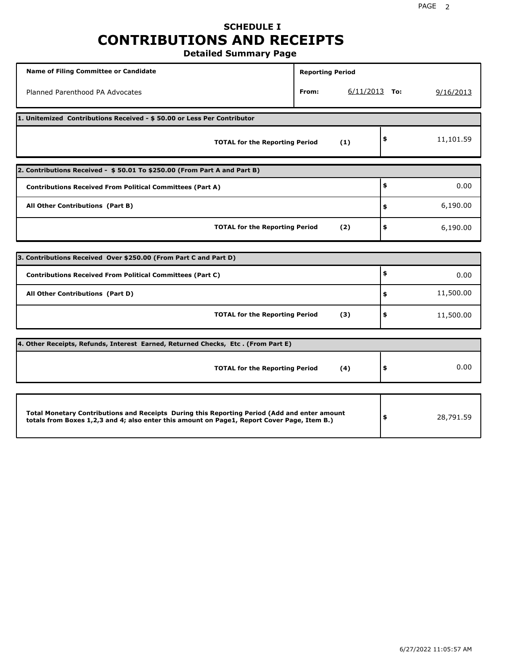## **SCHEDULE I CONTRIBUTIONS AND RECEIPTS**

**Detailed Summary Page**

| <b>Name of Filing Committee or Candidate</b>                                                                                                                                                | <b>Reporting Period</b>  |                 |
|---------------------------------------------------------------------------------------------------------------------------------------------------------------------------------------------|--------------------------|-----------------|
| Planned Parenthood PA Advocates                                                                                                                                                             | $6/11/2013$ To:<br>From: | 9/16/2013       |
| 1. Unitemized Contributions Received - \$50.00 or Less Per Contributor                                                                                                                      |                          |                 |
| <b>TOTAL for the Reporting Period</b>                                                                                                                                                       | (1)                      | \$<br>11,101.59 |
| 2. Contributions Received - \$50.01 To \$250.00 (From Part A and Part B)                                                                                                                    |                          |                 |
| <b>Contributions Received From Political Committees (Part A)</b>                                                                                                                            |                          | \$<br>0.00      |
| All Other Contributions (Part B)                                                                                                                                                            |                          | \$<br>6,190.00  |
| <b>TOTAL for the Reporting Period</b>                                                                                                                                                       | (2)                      | \$<br>6,190.00  |
| 3. Contributions Received Over \$250.00 (From Part C and Part D)                                                                                                                            |                          |                 |
|                                                                                                                                                                                             |                          | \$              |
| <b>Contributions Received From Political Committees (Part C)</b>                                                                                                                            |                          | 0.00            |
| All Other Contributions (Part D)                                                                                                                                                            |                          | \$<br>11,500.00 |
| <b>TOTAL for the Reporting Period</b>                                                                                                                                                       | (3)                      | \$<br>11,500.00 |
| 4. Other Receipts, Refunds, Interest Earned, Returned Checks, Etc. (From Part E)                                                                                                            |                          |                 |
| <b>TOTAL for the Reporting Period</b>                                                                                                                                                       | (4)                      | \$<br>0.00      |
|                                                                                                                                                                                             |                          |                 |
| Total Monetary Contributions and Receipts During this Reporting Period (Add and enter amount<br>totals from Boxes 1,2,3 and 4; also enter this amount on Page1, Report Cover Page, Item B.) |                          | \$<br>28,791.59 |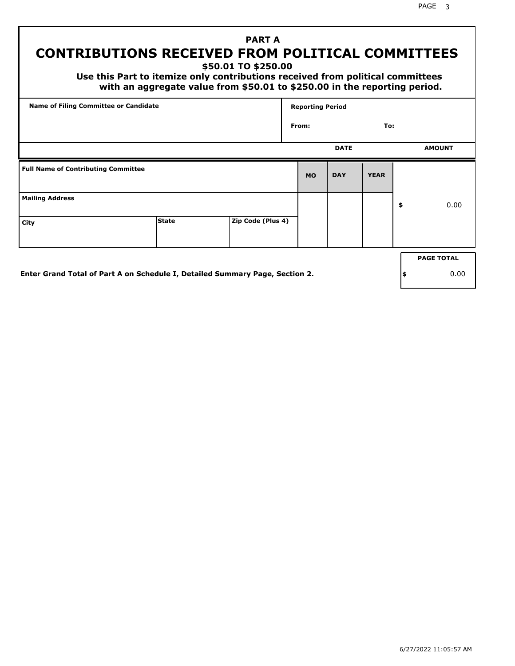PAGE 3

### **PART A CONTRIBUTIONS RECEIVED FROM POLITICAL COMMITTEES**

**\$50.01 TO \$250.00**

 **Use this Part to itemize only contributions received from political committees with an aggregate value from \$50.01 to \$250.00 in the reporting period.**

| Name of Filing Committee or Candidate      |              |                   | <b>Reporting Period</b> |             |             |                   |
|--------------------------------------------|--------------|-------------------|-------------------------|-------------|-------------|-------------------|
|                                            |              |                   | From:                   |             | To:         |                   |
|                                            |              |                   |                         | <b>DATE</b> |             | <b>AMOUNT</b>     |
| <b>Full Name of Contributing Committee</b> |              |                   | <b>MO</b>               | <b>DAY</b>  | <b>YEAR</b> |                   |
| <b>Mailing Address</b>                     |              |                   |                         |             |             | \$<br>0.00        |
| City                                       | <b>State</b> | Zip Code (Plus 4) |                         |             |             |                   |
|                                            |              |                   |                         |             |             | <b>PAGE TOTAL</b> |
|                                            |              |                   |                         |             |             |                   |

**Enter Grand Total of Part A on Schedule I, Detailed Summary Page, Section 2.**

**\$** 0.00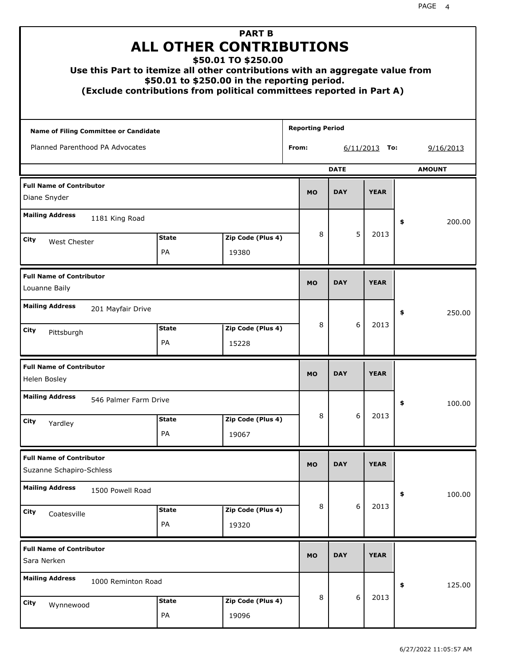| Use this Part to itemize all other contributions with an aggregate value from |                           | <b>PART B</b><br><b>ALL OTHER CONTRIBUTIONS</b><br>\$50.01 TO \$250.00<br>\$50.01 to \$250.00 in the reporting period.<br>(Exclude contributions from political committees reported in Part A) |       |                         |             |                  |    |               |
|-------------------------------------------------------------------------------|---------------------------|------------------------------------------------------------------------------------------------------------------------------------------------------------------------------------------------|-------|-------------------------|-------------|------------------|----|---------------|
| Name of Filing Committee or Candidate                                         |                           |                                                                                                                                                                                                |       | <b>Reporting Period</b> |             |                  |    |               |
| Planned Parenthood PA Advocates                                               |                           |                                                                                                                                                                                                | From: |                         |             | 6/11/2013<br>To: |    | 9/16/2013     |
|                                                                               |                           |                                                                                                                                                                                                |       |                         | <b>DATE</b> |                  |    | <b>AMOUNT</b> |
| <b>Full Name of Contributor</b><br>Diane Snyder                               |                           |                                                                                                                                                                                                |       | <b>MO</b>               | <b>DAY</b>  | <b>YEAR</b>      |    |               |
| <b>Mailing Address</b><br>1181 King Road                                      |                           |                                                                                                                                                                                                |       |                         |             |                  | \$ | 200.00        |
| City                                                                          | <b>State</b>              | Zip Code (Plus 4)                                                                                                                                                                              |       | 8                       | 5           | 2013             |    |               |
| <b>West Chester</b>                                                           | <b>PA</b>                 | 19380                                                                                                                                                                                          |       |                         |             |                  |    |               |
| <b>Full Name of Contributor</b><br>Louanne Baily                              |                           |                                                                                                                                                                                                |       | <b>MO</b>               | <b>DAY</b>  | <b>YEAR</b>      |    |               |
| <b>Mailing Address</b><br>201 Mayfair Drive                                   |                           |                                                                                                                                                                                                |       |                         |             |                  | \$ | 250.00        |
| City<br>Pittsburgh                                                            | <b>State</b><br><b>PA</b> | Zip Code (Plus 4)<br>15228                                                                                                                                                                     |       | 8                       | 6           | 2013             |    |               |
| <b>Full Name of Contributor</b><br>Helen Bosley                               |                           |                                                                                                                                                                                                |       | <b>MO</b>               | <b>DAY</b>  | <b>YEAR</b>      |    |               |
| <b>Mailing Address</b><br>546 Palmer Farm Drive                               |                           |                                                                                                                                                                                                |       |                         |             |                  | Ş  | 100.00        |
| City<br>Yardley                                                               | <b>State</b><br>PA        | Zip Code (Plus 4)<br>19067                                                                                                                                                                     |       | 8                       | 6           | 2013             |    |               |
| <b>Full Name of Contributor</b>                                               |                           |                                                                                                                                                                                                |       |                         |             |                  |    |               |
| Suzanne Schapiro-Schless                                                      |                           |                                                                                                                                                                                                |       | <b>MO</b>               | <b>DAY</b>  | <b>YEAR</b>      |    |               |
| <b>Mailing Address</b><br>1500 Powell Road                                    |                           |                                                                                                                                                                                                |       |                         |             |                  | \$ | 100.00        |
| City<br>Coatesville                                                           | <b>State</b><br>PA        | Zip Code (Plus 4)<br>19320                                                                                                                                                                     |       | 8                       | 6           | 2013             |    |               |
| <b>Full Name of Contributor</b><br>Sara Nerken                                |                           |                                                                                                                                                                                                |       | <b>MO</b>               | <b>DAY</b>  | <b>YEAR</b>      |    |               |
| <b>Mailing Address</b><br>1000 Reminton Road                                  |                           |                                                                                                                                                                                                |       |                         |             |                  | \$ | 125.00        |
| <b>City</b><br>Wynnewood                                                      | <b>State</b><br>PA        | Zip Code (Plus 4)<br>19096                                                                                                                                                                     |       | 8                       | 6           | 2013             |    |               |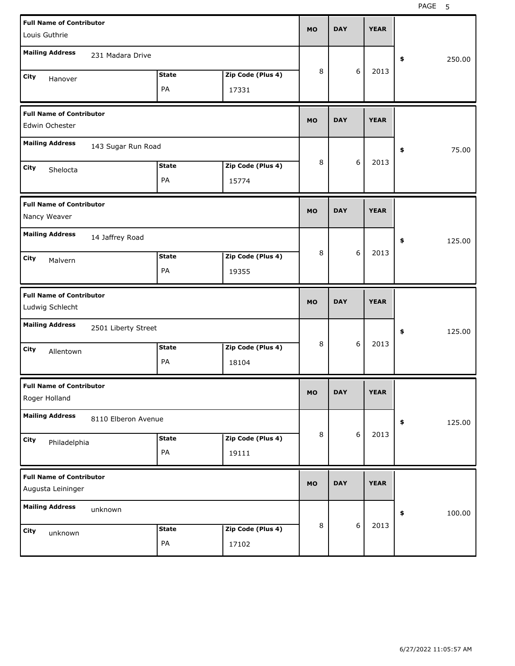| <b>Full Name of Contributor</b><br>Louis Guthrie     |                     |              |                   | <b>MO</b> | <b>DAY</b> |   | <b>YEAR</b> |              |
|------------------------------------------------------|---------------------|--------------|-------------------|-----------|------------|---|-------------|--------------|
| <b>Mailing Address</b>                               | 231 Madara Drive    |              |                   |           |            |   |             | \$<br>250.00 |
| City<br>Hanover                                      |                     | <b>State</b> | Zip Code (Plus 4) | 8         |            | 6 | 2013        |              |
|                                                      |                     | PA           | 17331             |           |            |   |             |              |
| <b>Full Name of Contributor</b><br>Edwin Ochester    |                     |              |                   | <b>MO</b> | <b>DAY</b> |   | <b>YEAR</b> |              |
| <b>Mailing Address</b>                               | 143 Sugar Run Road  |              |                   |           |            |   |             | \$<br>75.00  |
| City<br>Shelocta                                     |                     | <b>State</b> | Zip Code (Plus 4) | 8         |            | 6 | 2013        |              |
|                                                      |                     | PA           | 15774             |           |            |   |             |              |
| <b>Full Name of Contributor</b><br>Nancy Weaver      |                     |              |                   | <b>MO</b> | <b>DAY</b> |   | <b>YEAR</b> |              |
| <b>Mailing Address</b>                               | 14 Jaffrey Road     |              |                   |           |            |   |             | \$<br>125.00 |
| City<br>Malvern                                      |                     | <b>State</b> | Zip Code (Plus 4) | 8         |            | 6 | 2013        |              |
|                                                      |                     | PA           | 19355             |           |            |   |             |              |
|                                                      |                     |              |                   |           |            |   |             |              |
| <b>Full Name of Contributor</b><br>Ludwig Schlecht   |                     |              |                   | <b>MO</b> | <b>DAY</b> |   | <b>YEAR</b> |              |
| <b>Mailing Address</b>                               | 2501 Liberty Street |              |                   |           |            |   |             | \$<br>125.00 |
| City<br>Allentown                                    |                     | <b>State</b> | Zip Code (Plus 4) | 8         |            | 6 | 2013        |              |
|                                                      |                     | PA           | 18104             |           |            |   |             |              |
| <b>Full Name of Contributor</b><br>Roger Holland     |                     |              |                   | МO        | DAY        |   | <b>YEAR</b> |              |
| <b>Mailing Address</b>                               | 8110 Elberon Avenue |              |                   |           |            |   |             | \$<br>125.00 |
| City                                                 |                     | <b>State</b> | Zip Code (Plus 4) | 8         |            | 6 | 2013        |              |
| Philadelphia                                         |                     | PA           | 19111             |           |            |   |             |              |
| <b>Full Name of Contributor</b><br>Augusta Leininger |                     |              |                   | <b>MO</b> | <b>DAY</b> |   | <b>YEAR</b> |              |
| <b>Mailing Address</b>                               | unknown             |              |                   |           |            |   |             | \$<br>100.00 |
| City<br>unknown                                      |                     | <b>State</b> | Zip Code (Plus 4) | 8         |            | 6 | 2013        |              |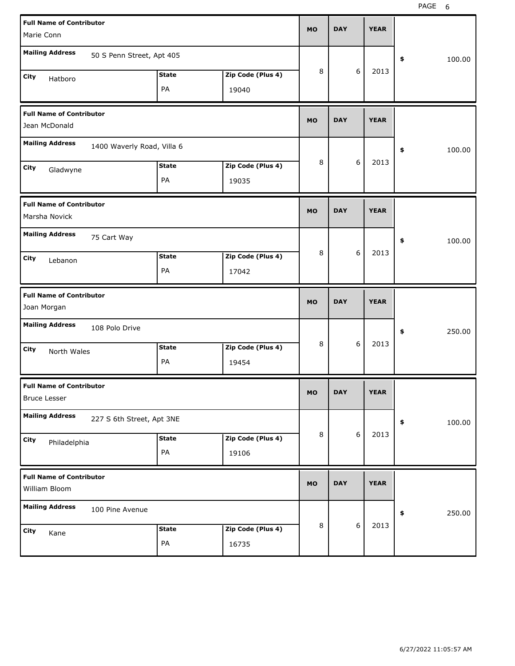| <b>Full Name of Contributor</b>                        |                            |              |                   | <b>MO</b> | <b>DAY</b> |       | <b>YEAR</b> |              |
|--------------------------------------------------------|----------------------------|--------------|-------------------|-----------|------------|-------|-------------|--------------|
| Marie Conn                                             |                            |              |                   |           |            |       |             |              |
| <b>Mailing Address</b>                                 | 50 S Penn Street, Apt 405  |              |                   |           |            |       |             | \$<br>100.00 |
| City<br>Hatboro                                        |                            | <b>State</b> | Zip Code (Plus 4) | 8         |            | 6     | 2013        |              |
|                                                        |                            | PA           | 19040             |           |            |       |             |              |
| <b>Full Name of Contributor</b><br>Jean McDonald       |                            |              |                   | <b>MO</b> | <b>DAY</b> |       | <b>YEAR</b> |              |
| <b>Mailing Address</b>                                 | 1400 Waverly Road, Villa 6 |              |                   |           |            |       |             | \$<br>100.00 |
| City<br>Gladwyne                                       |                            | <b>State</b> | Zip Code (Plus 4) | 8         |            | 6     | 2013        |              |
|                                                        |                            | PA           | 19035             |           |            |       |             |              |
| <b>Full Name of Contributor</b><br>Marsha Novick       |                            |              |                   | <b>MO</b> | <b>DAY</b> |       | <b>YEAR</b> |              |
| <b>Mailing Address</b>                                 | 75 Cart Way                |              |                   |           |            |       |             | \$<br>100.00 |
| City<br>Lebanon                                        |                            | <b>State</b> | Zip Code (Plus 4) | 8         |            | 6     | 2013        |              |
|                                                        |                            | PA           | 17042             |           |            |       |             |              |
|                                                        |                            |              |                   |           |            |       |             |              |
| <b>Full Name of Contributor</b><br>Joan Morgan         |                            |              |                   | <b>MO</b> | <b>DAY</b> |       | <b>YEAR</b> |              |
| <b>Mailing Address</b>                                 | 108 Polo Drive             |              |                   |           |            |       |             | \$<br>250.00 |
| City                                                   |                            | <b>State</b> | Zip Code (Plus 4) | 8         |            | 6     | 2013        |              |
| North Wales                                            |                            | PA           | 19454             |           |            |       |             |              |
| <b>Full Name of Contributor</b><br><b>Bruce Lesser</b> |                            |              |                   | <b>MO</b> | DAY        |       | YEAK        |              |
| <b>Mailing Address</b>                                 | 227 S 6th Street, Apt 3NE  |              |                   |           |            |       |             | \$<br>100.00 |
| City                                                   |                            | <b>State</b> | Zip Code (Plus 4) | $\, 8$    |            | 6     | 2013        |              |
| Philadelphia                                           |                            | PA           | 19106             |           |            |       |             |              |
| <b>Full Name of Contributor</b><br>William Bloom       |                            |              |                   | <b>MO</b> | <b>DAY</b> |       | <b>YEAR</b> |              |
| <b>Mailing Address</b>                                 | 100 Pine Avenue            |              |                   |           |            |       |             | \$<br>250.00 |
| City<br>Kane                                           |                            | <b>State</b> | Zip Code (Plus 4) | 8         |            | $6\,$ | 2013        |              |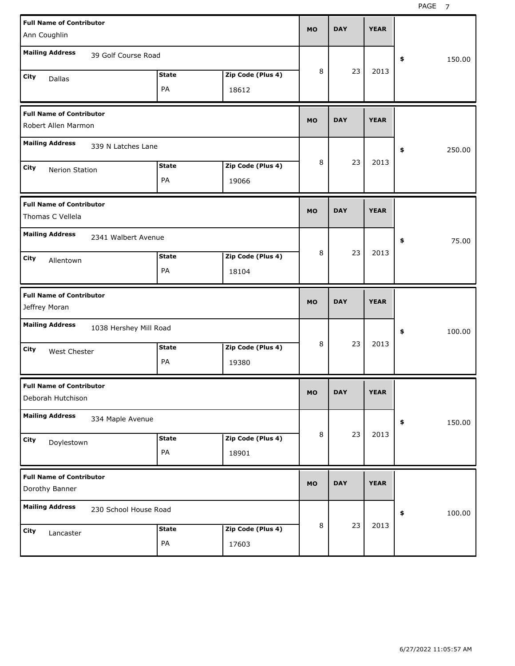| <b>Full Name of Contributor</b><br>Ann Coughlin                            | <b>MO</b> | <b>DAY</b> | <b>YEAR</b> |              |
|----------------------------------------------------------------------------|-----------|------------|-------------|--------------|
| <b>Mailing Address</b><br>39 Golf Course Road                              |           |            |             | 150.00<br>\$ |
| Zip Code (Plus 4)<br><b>State</b><br>City<br>Dallas<br>PA<br>18612         | 8         | 23         | 2013        |              |
| <b>Full Name of Contributor</b><br>Robert Allen Marmon                     | <b>MO</b> | <b>DAY</b> | <b>YEAR</b> |              |
| <b>Mailing Address</b><br>339 N Latches Lane                               |           |            |             | 250.00<br>\$ |
| Zip Code (Plus 4)<br><b>State</b><br>City<br>Nerion Station<br>PA<br>19066 | 8         | 23         | 2013        |              |
| <b>Full Name of Contributor</b><br>Thomas C Vellela                        | <b>MO</b> | <b>DAY</b> | <b>YEAR</b> |              |
| <b>Mailing Address</b><br>2341 Walbert Avenue                              | 8         | 23         | 2013        | 75.00<br>\$  |
| Zip Code (Plus 4)<br><b>State</b><br>City<br>Allentown<br>PA<br>18104      |           |            |             |              |
|                                                                            |           |            |             |              |
| <b>Full Name of Contributor</b><br>Jeffrey Moran                           | <b>MO</b> | <b>DAY</b> | <b>YEAR</b> |              |
| <b>Mailing Address</b><br>1038 Hershey Mill Road                           |           |            |             | 100.00<br>\$ |
| Zip Code (Plus 4)<br><b>State</b><br>City<br>West Chester<br>PA<br>19380   | 8         | 23         | 2013        |              |
| <b>Full Name of Contributor</b><br>Deborah Hutchison                       | <b>MO</b> | <b>DAY</b> | <b>YEAR</b> |              |
| <b>Mailing Address</b><br>334 Maple Avenue                                 |           |            |             | \$<br>150.00 |
| Zip Code (Plus 4)<br><b>State</b><br>City<br>Doylestown<br>PA<br>18901     | 8         | 23         | 2013        |              |
| <b>Full Name of Contributor</b><br>Dorothy Banner                          | <b>MO</b> | <b>DAY</b> | <b>YEAR</b> |              |
| <b>Mailing Address</b><br>230 School House Road                            |           | 23         | 2013        | 100.00<br>\$ |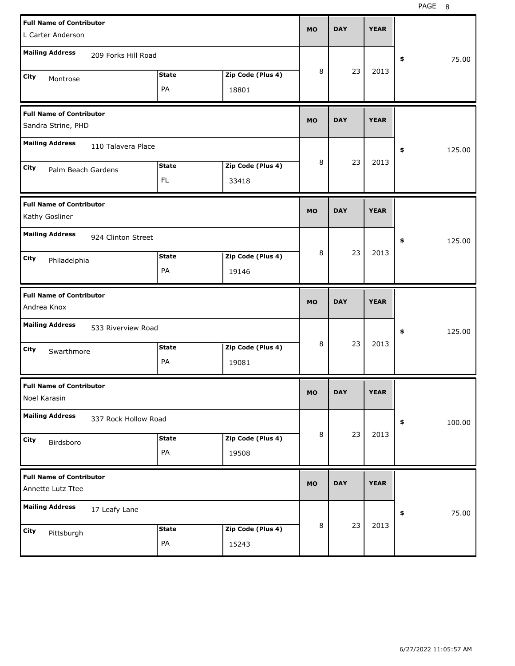PAGE 8

| <b>Full Name of Contributor</b><br>L Carter Anderson  |                            | <b>MO</b> | <b>DAY</b> | <b>YEAR</b> |              |
|-------------------------------------------------------|----------------------------|-----------|------------|-------------|--------------|
| <b>Mailing Address</b><br>209 Forks Hill Road         |                            |           |            |             | 75.00<br>\$  |
| <b>State</b><br>City<br>Montrose<br>PA                | Zip Code (Plus 4)<br>18801 | 8         | 23         | 2013        |              |
| <b>Full Name of Contributor</b><br>Sandra Strine, PHD |                            | <b>MO</b> | <b>DAY</b> | <b>YEAR</b> |              |
| <b>Mailing Address</b><br>110 Talavera Place          |                            |           |            |             | 125.00<br>\$ |
| <b>State</b><br>City<br>Palm Beach Gardens<br>FL.     | Zip Code (Plus 4)<br>33418 | 8         | 23         | 2013        |              |
| <b>Full Name of Contributor</b><br>Kathy Gosliner     |                            | <b>MO</b> | <b>DAY</b> | <b>YEAR</b> |              |
| <b>Mailing Address</b><br>924 Clinton Street          |                            |           |            |             | 125.00<br>\$ |
| <b>State</b><br>City<br>Philadelphia<br>PA            | Zip Code (Plus 4)<br>19146 | 8         | 23         | 2013        |              |
|                                                       |                            |           |            |             |              |
| <b>Full Name of Contributor</b><br>Andrea Knox        |                            | <b>MO</b> | <b>DAY</b> | <b>YEAR</b> |              |
| <b>Mailing Address</b><br>533 Riverview Road          |                            |           |            |             | 125.00<br>\$ |
| <b>State</b><br>City<br>Swarthmore<br>PA              | Zip Code (Plus 4)<br>19081 | 8         | 23         | 2013        |              |
| <b>Full Name of Contributor</b><br>Noel Karasin       |                            | <b>MO</b> | <b>DAY</b> | <b>YEAR</b> |              |
| <b>Mailing Address</b><br>337 Rock Hollow Road        |                            |           |            |             | \$<br>100.00 |
| <b>State</b><br>City<br>Birdsboro<br>PA               | Zip Code (Plus 4)<br>19508 | 8         | 23         | 2013        |              |
| <b>Full Name of Contributor</b><br>Annette Lutz Ttee  |                            | <b>MO</b> | <b>DAY</b> | <b>YEAR</b> |              |
| <b>Mailing Address</b><br>17 Leafy Lane               |                            |           |            |             | 75.00<br>\$  |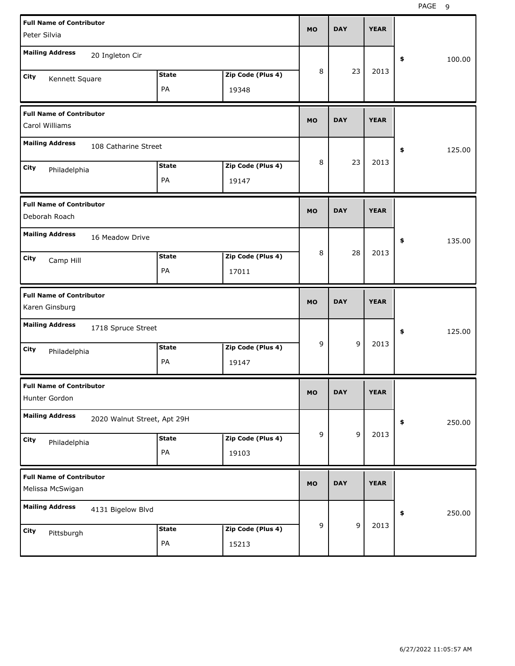| <b>Full Name of Contributor</b><br>Peter Silvia                            | <b>MO</b> | <b>DAY</b>     | <b>YEAR</b> |              |
|----------------------------------------------------------------------------|-----------|----------------|-------------|--------------|
| <b>Mailing Address</b><br>20 Ingleton Cir                                  |           |                |             | \$<br>100.00 |
| Zip Code (Plus 4)<br><b>State</b><br>City<br>Kennett Square<br>PA<br>19348 | 8         | 23             | 2013        |              |
| <b>Full Name of Contributor</b><br>Carol Williams                          | <b>MO</b> | <b>DAY</b>     | <b>YEAR</b> |              |
| <b>Mailing Address</b><br>108 Catharine Street                             |           |                |             | \$<br>125.00 |
| Zip Code (Plus 4)<br><b>State</b><br>City<br>Philadelphia<br>PA<br>19147   | 8         | 23             | 2013        |              |
| <b>Full Name of Contributor</b><br>Deborah Roach                           | <b>MO</b> | <b>DAY</b>     | <b>YEAR</b> |              |
| <b>Mailing Address</b><br>16 Meadow Drive                                  |           |                |             | \$<br>135.00 |
| Zip Code (Plus 4)<br><b>State</b><br>City<br>Camp Hill<br>PA<br>17011      | 8         | 28             | 2013        |              |
|                                                                            |           |                |             |              |
| <b>Full Name of Contributor</b><br>Karen Ginsburg                          | <b>MO</b> | <b>DAY</b>     | <b>YEAR</b> |              |
| <b>Mailing Address</b><br>1718 Spruce Street                               |           |                |             | \$<br>125.00 |
| Zip Code (Plus 4)<br><b>State</b><br>City<br>Philadelphia<br>PA<br>19147   | 9         | 9              | 2013        |              |
| <b>Full Name of Contributor</b><br>Hunter Gordon                           | МO        | DAY            | <b>YEAR</b> |              |
| <b>Mailing Address</b><br>2020 Walnut Street, Apt 29H                      |           |                |             | 250.00<br>\$ |
| Zip Code (Plus 4)<br><b>State</b><br>City<br>Philadelphia<br>PA<br>19103   | 9         | 9              | 2013        |              |
| <b>Full Name of Contributor</b><br>Melissa McSwigan                        | <b>MO</b> | <b>DAY</b>     | <b>YEAR</b> |              |
| <b>Mailing Address</b><br>4131 Bigelow Blvd                                | 9         | $\overline{9}$ | 2013        | 250.00<br>\$ |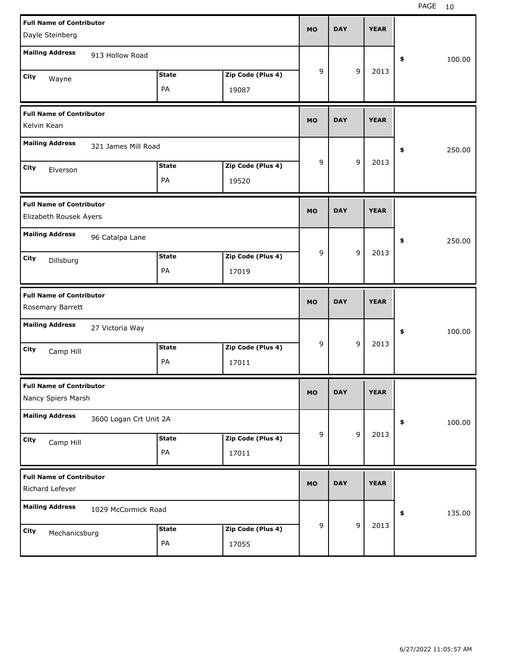| <b>Full Name of Contributor</b><br>Dayle Steinberg        |                    |                            | <b>MO</b> | <b>DAY</b> |                | <b>YEAR</b> |              |
|-----------------------------------------------------------|--------------------|----------------------------|-----------|------------|----------------|-------------|--------------|
| <b>Mailing Address</b><br>913 Hollow Road                 |                    |                            |           |            |                |             | \$<br>100.00 |
| City<br>Wayne                                             | <b>State</b><br>PA | Zip Code (Plus 4)<br>19087 | 9         |            | 9              | 2013        |              |
| <b>Full Name of Contributor</b><br>Kelvin Kean            |                    |                            | <b>MO</b> | <b>DAY</b> |                | <b>YEAR</b> |              |
| <b>Mailing Address</b><br>321 James Mill Road             |                    |                            |           |            |                |             | \$<br>250.00 |
| City<br>Elverson                                          | <b>State</b><br>PA | Zip Code (Plus 4)<br>19520 | 9         |            | 9              | 2013        |              |
| <b>Full Name of Contributor</b><br>Elizabeth Rousek Ayers |                    |                            | <b>MO</b> | <b>DAY</b> |                | <b>YEAR</b> |              |
| <b>Mailing Address</b><br>96 Catalpa Lane                 |                    |                            |           |            |                |             | \$<br>250.00 |
| City<br>Dillsburg                                         | <b>State</b><br>PA | Zip Code (Plus 4)<br>17019 | 9         |            | 9              | 2013        |              |
|                                                           |                    |                            |           |            |                |             |              |
| <b>Full Name of Contributor</b><br>Rosemary Barrett       |                    |                            | <b>MO</b> | <b>DAY</b> |                | <b>YEAR</b> |              |
| <b>Mailing Address</b><br>27 Victoria Way                 |                    |                            |           |            |                |             | \$<br>100.00 |
| City<br>Camp Hill                                         | <b>State</b><br>PA | Zip Code (Plus 4)<br>17011 | 9         |            | 9              | 2013        |              |
| <b>Full Name of Contributor</b><br>Nancy Spiers Marsh     |                    |                            | <b>MO</b> | <b>DAY</b> |                | <b>YEAR</b> |              |
| <b>Mailing Address</b><br>3600 Logan Crt Unit 2A          |                    |                            |           |            |                |             | \$<br>100.00 |
| City<br>Camp Hill                                         | <b>State</b><br>PA | Zip Code (Plus 4)<br>17011 | 9         |            | $\overline{9}$ | 2013        |              |
| <b>Full Name of Contributor</b><br>Richard Lefever        |                    |                            | <b>MO</b> | <b>DAY</b> |                | <b>YEAR</b> |              |
| <b>Mailing Address</b><br>1029 McCormick Road             |                    |                            | 9         |            | $\overline{9}$ | 2013        | \$<br>135.00 |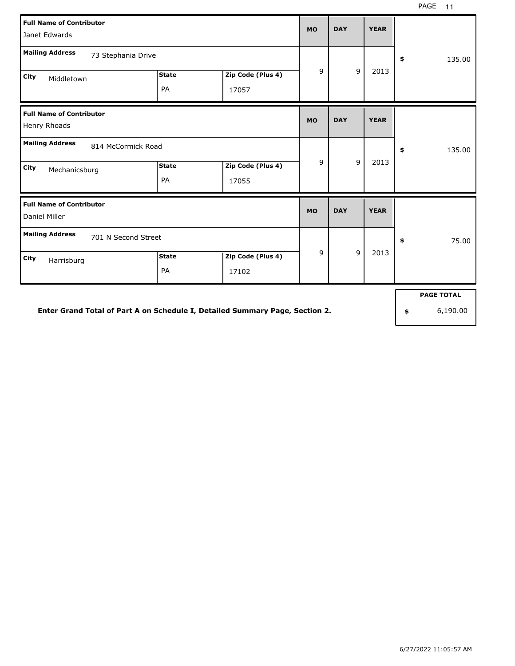| <b>Full Name of Contributor</b><br>Janet Edwards |                    |                            | <b>MO</b> | <b>DAY</b>     | <b>YEAR</b> |                   |
|--------------------------------------------------|--------------------|----------------------------|-----------|----------------|-------------|-------------------|
| <b>Mailing Address</b><br>73 Stephania Drive     |                    |                            |           | \$<br>135.00   |             |                   |
| <b>City</b><br>Middletown                        | <b>State</b><br>PA | Zip Code (Plus 4)<br>17057 | 9         | 9              | 2013        |                   |
| <b>Full Name of Contributor</b><br>Henry Rhoads  |                    |                            | <b>MO</b> | <b>DAY</b>     | <b>YEAR</b> |                   |
| <b>Mailing Address</b><br>814 McCormick Road     |                    |                            |           |                |             | \$<br>135.00      |
| <b>City</b><br>Mechanicsburg                     | <b>State</b><br>PA | Zip Code (Plus 4)<br>17055 | 9         | $\overline{9}$ | 2013        |                   |
| <b>Full Name of Contributor</b><br>Daniel Miller |                    |                            | <b>MO</b> | <b>DAY</b>     | <b>YEAR</b> |                   |
| <b>Mailing Address</b><br>701 N Second Street    |                    |                            |           |                |             | 75.00<br>\$       |
| City<br>Harrisburg                               | <b>State</b><br>PA | Zip Code (Plus 4)<br>17102 | 9         | $\overline{9}$ | 2013        |                   |
|                                                  |                    |                            |           |                |             | <b>PAGE TOTAL</b> |

**Enter Grand Total of Part A on Schedule I, Detailed Summary Page, Section 2.**

**\$** 6,190.00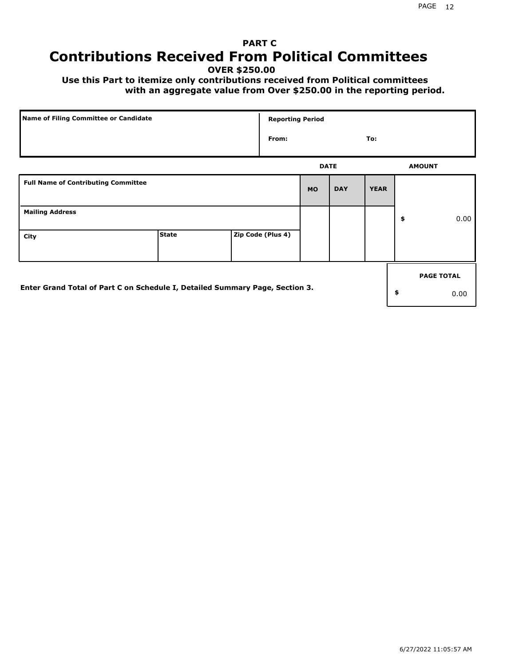### **PART C Contributions Received From Political Committees**

**OVER \$250.00**

 **Use this Part to itemize only contributions received from Political committees with an aggregate value from Over \$250.00 in the reporting period.**

| Name of Filing Committee or Candidate                                        |              |  |                   | <b>Reporting Period</b> |            |             |    |                   |
|------------------------------------------------------------------------------|--------------|--|-------------------|-------------------------|------------|-------------|----|-------------------|
|                                                                              |              |  | From:             |                         |            | To:         |    |                   |
|                                                                              |              |  |                   | <b>DATE</b>             |            |             |    | <b>AMOUNT</b>     |
| <b>Full Name of Contributing Committee</b>                                   |              |  |                   | <b>MO</b>               | <b>DAY</b> | <b>YEAR</b> |    |                   |
| <b>Mailing Address</b>                                                       |              |  |                   |                         |            |             | \$ | 0.00              |
| City                                                                         | <b>State</b> |  | Zip Code (Plus 4) |                         |            |             |    |                   |
|                                                                              |              |  |                   |                         |            |             |    | <b>PAGE TOTAL</b> |
| Enter Grand Total of Part C on Schedule I, Detailed Summary Page, Section 3. |              |  |                   |                         |            |             | \$ | 0.00              |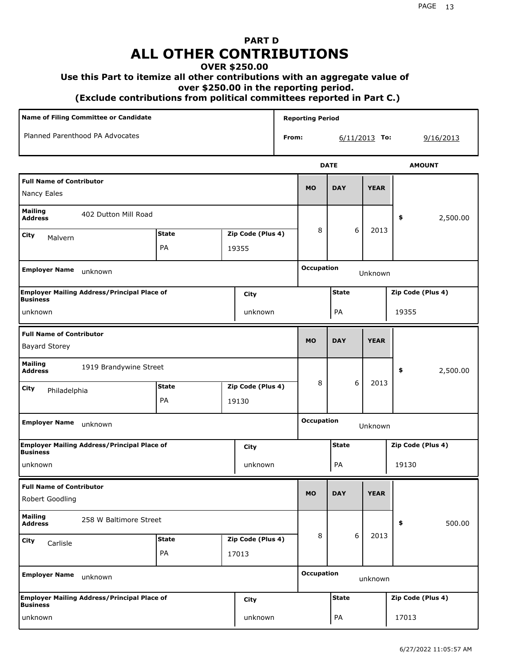# **PART D ALL OTHER CONTRIBUTIONS**

#### **OVER \$250.00**

#### **Use this Part to itemize all other contributions with an aggregate value of**

 **over \$250.00 in the reporting period.**

 **(Exclude contributions from political committees reported in Part C.)** 

| Name of Filing Committee or Candidate                                         |              |  |                   |              | <b>Reporting Period</b>      |              |       |                   |                   |                   |  |
|-------------------------------------------------------------------------------|--------------|--|-------------------|--------------|------------------------------|--------------|-------|-------------------|-------------------|-------------------|--|
| Planned Parenthood PA Advocates                                               |              |  |                   | From:        |                              |              |       | $6/11/2013$ To:   |                   | 9/16/2013         |  |
|                                                                               |              |  |                   |              |                              | <b>DATE</b>  |       |                   |                   | <b>AMOUNT</b>     |  |
| <b>Full Name of Contributor</b><br>Nancy Eales                                |              |  |                   |              | <b>MO</b>                    | <b>DAY</b>   |       | <b>YEAR</b>       |                   |                   |  |
| <b>Mailing</b><br>402 Dutton Mill Road<br><b>Address</b>                      |              |  |                   |              |                              |              |       |                   | \$                | 2,500.00          |  |
| <b>City</b><br>Malvern                                                        | <b>State</b> |  | Zip Code (Plus 4) |              | 8                            |              | 6     | 2013              |                   |                   |  |
|                                                                               | PA<br>19355  |  |                   |              |                              |              |       |                   |                   |                   |  |
| <b>Employer Name</b><br>unknown                                               |              |  |                   |              | <b>Occupation</b>            |              |       | Unknown           |                   |                   |  |
| <b>Employer Mailing Address/Principal Place of</b><br>City<br><b>Business</b> |              |  |                   | <b>State</b> |                              |              |       | Zip Code (Plus 4) |                   |                   |  |
| unknown<br>unknown                                                            |              |  |                   | PA           |                              |              | 19355 |                   |                   |                   |  |
| <b>Full Name of Contributor</b><br><b>Bayard Storey</b>                       |              |  |                   |              | <b>MO</b>                    | <b>DAY</b>   |       | <b>YEAR</b>       |                   |                   |  |
| <b>Mailing</b><br>1919 Brandywine Street<br><b>Address</b>                    |              |  |                   |              |                              |              |       |                   | \$                | 2,500.00          |  |
| City<br>Philadelphia                                                          | <b>State</b> |  | Zip Code (Plus 4) |              | 8                            |              | 6     | 2013              |                   |                   |  |
|                                                                               | PA           |  | 19130             |              |                              |              |       |                   |                   |                   |  |
| <b>Employer Name</b><br>unknown                                               |              |  |                   |              | <b>Occupation</b><br>Unknown |              |       |                   |                   |                   |  |
| <b>Employer Mailing Address/Principal Place of</b><br><b>Business</b>         |              |  | City              |              | <b>State</b>                 |              |       |                   | Zip Code (Plus 4) |                   |  |
| unknown                                                                       |              |  | unknown           |              |                              | PA           |       |                   | 19130             |                   |  |
| <b>Full Name of Contributor</b>                                               |              |  |                   |              |                              |              |       |                   |                   |                   |  |
| Robert Goodling                                                               |              |  |                   |              | <b>MO</b>                    | <b>DAY</b>   |       | <b>YEAR</b>       |                   |                   |  |
| <b>Mailing</b><br>258 W Baltimore Street<br><b>Address</b>                    |              |  |                   |              |                              |              |       |                   | \$                | 500.00            |  |
| <b>City</b><br>Carlisle                                                       | <b>State</b> |  | Zip Code (Plus 4) |              | 8                            |              | 6     | 2013              |                   |                   |  |
|                                                                               | PA           |  | 17013             |              |                              |              |       |                   |                   |                   |  |
| <b>Employer Name</b><br>unknown                                               |              |  |                   |              | <b>Occupation</b>            |              |       | unknown           |                   |                   |  |
| <b>Employer Mailing Address/Principal Place of</b><br><b>Business</b>         |              |  | <b>City</b>       |              |                              | <b>State</b> |       |                   |                   | Zip Code (Plus 4) |  |
| unknown                                                                       |              |  | unknown           |              |                              | PA           |       |                   | 17013             |                   |  |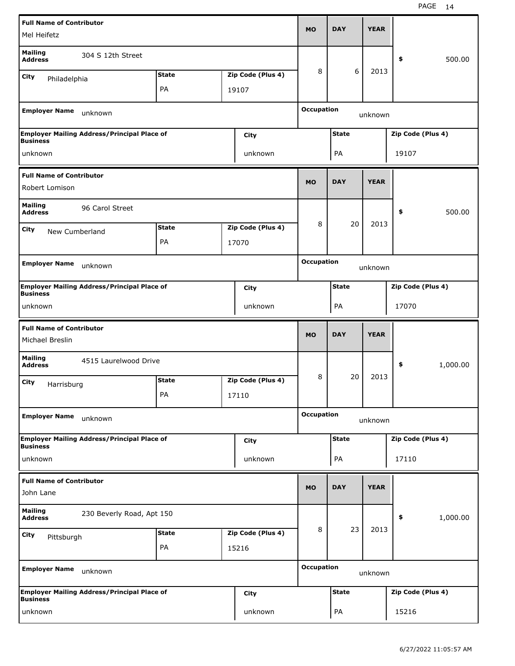|                                                   | <b>Full Name of Contributor</b>                            |              |  |                   |                              | <b>DAY</b>   | <b>YEAR</b> |                   |          |  |
|---------------------------------------------------|------------------------------------------------------------|--------------|--|-------------------|------------------------------|--------------|-------------|-------------------|----------|--|
| Mel Heifetz                                       |                                                            |              |  |                   | <b>MO</b>                    |              |             |                   |          |  |
| <b>Mailing</b><br><b>Address</b>                  | 304 S 12th Street                                          |              |  |                   |                              |              |             | \$                | 500.00   |  |
| City<br>Philadelphia                              |                                                            | <b>State</b> |  | Zip Code (Plus 4) | 8                            | 6            | 2013        |                   |          |  |
|                                                   |                                                            | PA           |  | 19107             |                              |              |             |                   |          |  |
| <b>Employer Name</b>                              | unknown                                                    |              |  |                   | <b>Occupation</b>            |              | unknown     |                   |          |  |
|                                                   | <b>Employer Mailing Address/Principal Place of</b>         |              |  | City              | <b>State</b>                 |              |             | Zip Code (Plus 4) |          |  |
| <b>Business</b><br>unknown                        |                                                            |              |  | unknown           |                              | PA           |             | 19107             |          |  |
|                                                   |                                                            |              |  |                   |                              |              |             |                   |          |  |
| <b>Full Name of Contributor</b><br>Robert Lomison |                                                            |              |  |                   | <b>MO</b>                    | <b>DAY</b>   | <b>YEAR</b> |                   |          |  |
| <b>Mailing</b><br><b>Address</b>                  | 96 Carol Street                                            |              |  |                   |                              |              |             | \$                | 500.00   |  |
| City<br>New Cumberland                            |                                                            | <b>State</b> |  | Zip Code (Plus 4) | 8                            | 20           | 2013        |                   |          |  |
|                                                   |                                                            | PA           |  | 17070             |                              |              |             |                   |          |  |
|                                                   |                                                            |              |  |                   |                              |              |             |                   |          |  |
| <b>Employer Name</b><br>unknown                   |                                                            |              |  |                   | <b>Occupation</b><br>unknown |              |             |                   |          |  |
| <b>Business</b>                                   | <b>Employer Mailing Address/Principal Place of</b><br>City |              |  |                   | <b>State</b>                 |              |             | Zip Code (Plus 4) |          |  |
| unknown                                           |                                                            |              |  | unknown           | PA                           |              |             | 17070             |          |  |
| <b>Full Name of Contributor</b>                   |                                                            |              |  |                   |                              |              |             |                   |          |  |
| Michael Breslin                                   |                                                            |              |  |                   | <b>MO</b>                    | <b>DAY</b>   | <b>YEAR</b> |                   |          |  |
| <b>Mailing</b><br><b>Address</b>                  | 4515 Laurelwood Drive                                      |              |  |                   |                              |              |             | \$                | 1,000.00 |  |
| City                                              |                                                            | <b>State</b> |  | Zip Code (Plus 4) | 8                            | 20           | 2013        |                   |          |  |
| Harrisburg                                        |                                                            | PA           |  | 17110             |                              |              |             |                   |          |  |
| <b>Employer Name</b>                              | unknown                                                    |              |  |                   | <b>Occupation</b>            |              | unknown     |                   |          |  |
|                                                   | <b>Employer Mailing Address/Principal Place of</b>         |              |  | City              |                              | <b>State</b> |             | Zip Code (Plus 4) |          |  |
| <b>Business</b><br>unknown                        |                                                            |              |  | unknown           |                              | PA           |             | 17110             |          |  |
|                                                   |                                                            |              |  |                   |                              |              |             |                   |          |  |
| <b>Full Name of Contributor</b><br>John Lane      |                                                            |              |  |                   | <b>MO</b>                    | <b>DAY</b>   | <b>YEAR</b> |                   |          |  |
| Mailing<br><b>Address</b>                         | 230 Beverly Road, Apt 150                                  |              |  |                   |                              |              |             | \$                | 1,000.00 |  |
| City                                              |                                                            | <b>State</b> |  | Zip Code (Plus 4) | 8                            | 23           | 2013        |                   |          |  |
| Pittsburgh                                        |                                                            | PA           |  | 15216             |                              |              |             |                   |          |  |
| <b>Employer Name</b>                              | unknown                                                    |              |  |                   | <b>Occupation</b>            |              | unknown     |                   |          |  |
| <b>Business</b>                                   | <b>Employer Mailing Address/Principal Place of</b>         |              |  | City              |                              | <b>State</b> |             | Zip Code (Plus 4) |          |  |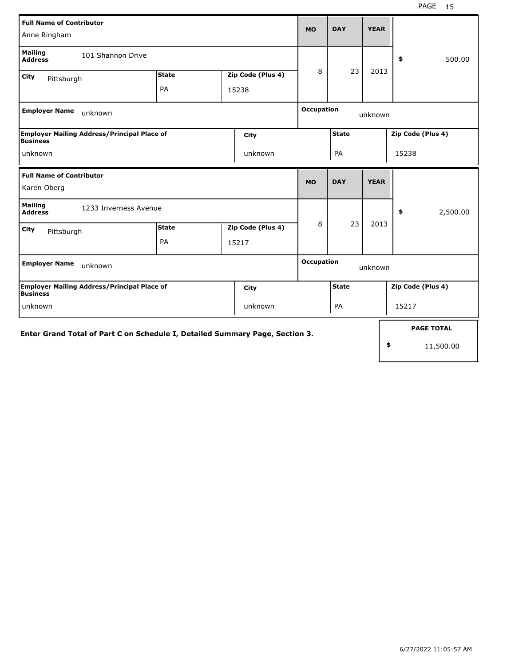| <b>Full Name of Contributor</b><br>Anne Ringham                               |                    |  |                            |                   |                              | <b>YEAR</b> |    |                   |  |
|-------------------------------------------------------------------------------|--------------------|--|----------------------------|-------------------|------------------------------|-------------|----|-------------------|--|
| <b>Mailing</b><br>101 Shannon Drive<br><b>Address</b>                         |                    |  |                            |                   |                              |             |    | 500.00<br>\$      |  |
| City<br>Pittsburgh                                                            | <b>State</b><br>PA |  | Zip Code (Plus 4)<br>15238 | 8                 | 23                           | 2013        |    |                   |  |
| <b>Employer Name</b><br>unknown                                               |                    |  |                            |                   | <b>Occupation</b><br>unknown |             |    |                   |  |
| <b>Employer Mailing Address/Principal Place of</b><br>City<br><b>Business</b> |                    |  |                            |                   | <b>State</b>                 |             |    | Zip Code (Plus 4) |  |
| unknown<br>unknown                                                            |                    |  |                            |                   | PA                           |             |    | 15238             |  |
| <b>Full Name of Contributor</b><br>Karen Oberg                                |                    |  |                            | <b>MO</b>         | <b>DAY</b>                   | <b>YEAR</b> |    |                   |  |
| <b>Mailing</b><br>1233 Inverness Avenue<br><b>Address</b>                     |                    |  |                            |                   |                              |             |    | \$<br>2,500.00    |  |
| City<br>Pittsburgh                                                            | <b>State</b>       |  | Zip Code (Plus 4)          | 8                 | 23                           | 2013        |    |                   |  |
|                                                                               | PA                 |  | 15217                      |                   |                              |             |    |                   |  |
| <b>Employer Name</b><br>unknown                                               |                    |  |                            | <b>Occupation</b> |                              | unknown     |    |                   |  |
| <b>Employer Mailing Address/Principal Place of</b><br><b>Business</b>         |                    |  | City                       |                   | <b>State</b>                 |             |    | Zip Code (Plus 4) |  |
| unknown                                                                       |                    |  | unknown                    |                   | PA                           |             |    | 15217             |  |
| Enter Grand Total of Part C on Schedule I, Detailed Summary Page, Section 3.  |                    |  |                            |                   |                              |             |    | <b>PAGE TOTAL</b> |  |
|                                                                               |                    |  |                            |                   |                              |             | \$ | 11,500.00         |  |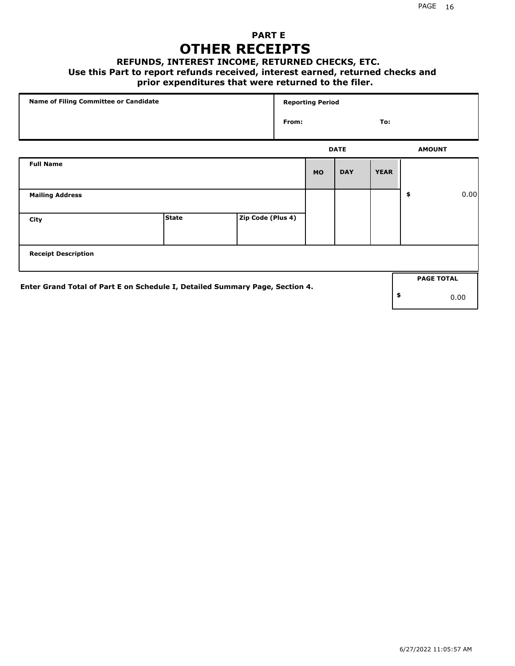### **PART E OTHER RECEIPTS**

#### **REFUNDS, INTEREST INCOME, RETURNED CHECKS, ETC.**

#### **Use this Part to report refunds received, interest earned, returned checks and**

### **prior expenditures that were returned to the filer.**

|                                                                              | Name of Filing Committee or Candidate |                   |       | <b>Reporting Period</b> |             |             |    |                   |      |  |
|------------------------------------------------------------------------------|---------------------------------------|-------------------|-------|-------------------------|-------------|-------------|----|-------------------|------|--|
|                                                                              |                                       |                   | From: |                         |             | To:         |    |                   |      |  |
|                                                                              |                                       |                   |       |                         | <b>DATE</b> |             |    | <b>AMOUNT</b>     |      |  |
| <b>Full Name</b>                                                             |                                       |                   |       | <b>MO</b>               | <b>DAY</b>  | <b>YEAR</b> |    |                   |      |  |
| <b>Mailing Address</b>                                                       |                                       |                   |       |                         |             |             | \$ |                   | 0.00 |  |
| City                                                                         | <b>State</b>                          | Zip Code (Plus 4) |       |                         |             |             |    |                   |      |  |
| <b>Receipt Description</b>                                                   |                                       |                   |       |                         |             |             |    |                   |      |  |
|                                                                              |                                       |                   |       |                         |             |             |    | <b>PAGE TOTAL</b> |      |  |
| Enter Grand Total of Part E on Schedule I, Detailed Summary Page, Section 4. |                                       |                   |       |                         |             |             | \$ |                   | 0.00 |  |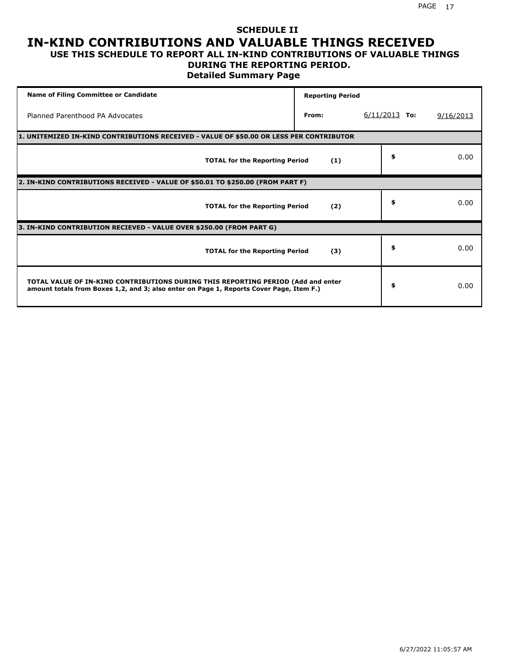#### **SCHEDULE II IN-KIND CONTRIBUTIONS AND VALUABLE THINGS RECEIVED USE THIS SCHEDULE TO REPORT ALL IN-KIND CONTRIBUTIONS OF VALUABLE THINGS**

### **DURING THE REPORTING PERIOD.**

**Detailed Summary Page**

| <b>Name of Filing Committee or Candidate</b>                                                                                                                                | <b>Reporting Period</b> |                 |           |
|-----------------------------------------------------------------------------------------------------------------------------------------------------------------------------|-------------------------|-----------------|-----------|
| Planned Parenthood PA Advocates                                                                                                                                             | From:                   | $6/11/2013$ To: | 9/16/2013 |
| 1. UNITEMIZED IN-KIND CONTRIBUTIONS RECEIVED - VALUE OF \$50.00 OR LESS PER CONTRIBUTOR                                                                                     |                         |                 |           |
| <b>TOTAL for the Reporting Period</b>                                                                                                                                       | (1)                     | \$              | 0.00      |
| 2. IN-KIND CONTRIBUTIONS RECEIVED - VALUE OF \$50.01 TO \$250.00 (FROM PART F)                                                                                              |                         |                 |           |
| <b>TOTAL for the Reporting Period</b>                                                                                                                                       | (2)                     | \$              | 0.00      |
| 3. IN-KIND CONTRIBUTION RECIEVED - VALUE OVER \$250.00 (FROM PART G)                                                                                                        |                         |                 |           |
| <b>TOTAL for the Reporting Period</b>                                                                                                                                       | (3)                     | \$              | 0.00      |
| TOTAL VALUE OF IN-KIND CONTRIBUTIONS DURING THIS REPORTING PERIOD (Add and enter<br>amount totals from Boxes 1,2, and 3; also enter on Page 1, Reports Cover Page, Item F.) |                         | \$              | 0.00      |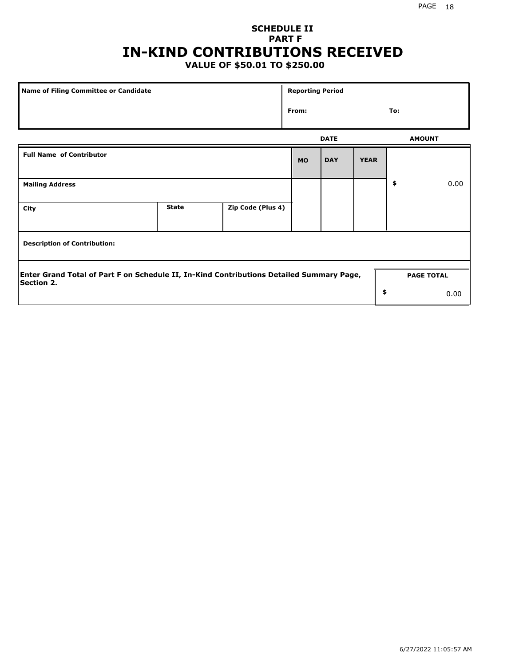### **SCHEDULE II PART F IN-KIND CONTRIBUTIONS RECEIVED**

### **VALUE OF \$50.01 TO \$250.00**

| <b>Name of Filing Committee or Candidate</b>                                                                  |              |                   |           |             | <b>Reporting Period</b> |                   |      |  |  |
|---------------------------------------------------------------------------------------------------------------|--------------|-------------------|-----------|-------------|-------------------------|-------------------|------|--|--|
|                                                                                                               |              |                   |           |             |                         | To:               |      |  |  |
|                                                                                                               |              |                   |           | <b>DATE</b> |                         | <b>AMOUNT</b>     |      |  |  |
| <b>Full Name of Contributor</b>                                                                               |              |                   | <b>MO</b> | <b>DAY</b>  | <b>YEAR</b>             |                   |      |  |  |
| <b>Mailing Address</b>                                                                                        |              |                   |           |             |                         | \$                | 0.00 |  |  |
| City                                                                                                          | <b>State</b> | Zip Code (Plus 4) |           |             |                         |                   |      |  |  |
| <b>Description of Contribution:</b>                                                                           |              |                   |           |             |                         |                   |      |  |  |
| Enter Grand Total of Part F on Schedule II, In-Kind Contributions Detailed Summary Page,<br><b>Section 2.</b> |              |                   |           |             |                         | <b>PAGE TOTAL</b> |      |  |  |
|                                                                                                               |              |                   |           |             | \$                      |                   | 0.00 |  |  |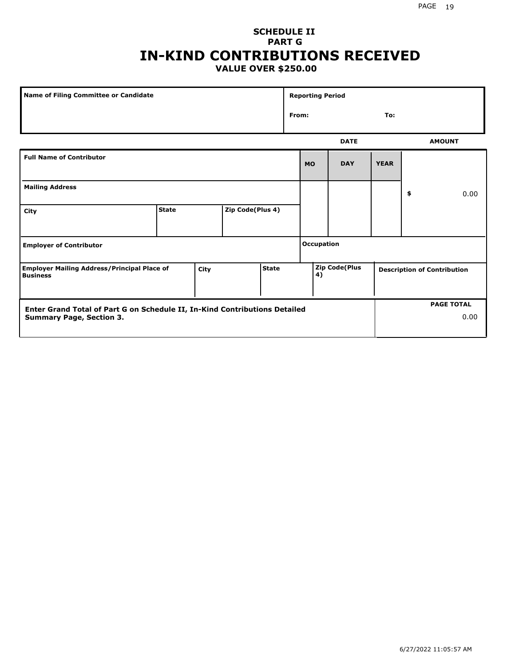#### **SCHEDULE II PART G IN-KIND CONTRIBUTIONS RECEIVED VALUE OVER \$250.00**

| Name of Filing Committee or Candidate                                                         |              |  |                  |  |       | <b>Reporting Period</b> |             |                                    |               |
|-----------------------------------------------------------------------------------------------|--------------|--|------------------|--|-------|-------------------------|-------------|------------------------------------|---------------|
|                                                                                               |              |  |                  |  | From: |                         |             | To:                                |               |
|                                                                                               |              |  |                  |  |       |                         | <b>DATE</b> |                                    | <b>AMOUNT</b> |
| <b>Full Name of Contributor</b>                                                               |              |  |                  |  |       | <b>MO</b>               | <b>DAY</b>  | <b>YEAR</b>                        |               |
| <b>Mailing Address</b>                                                                        |              |  |                  |  |       |                         |             |                                    | \$<br>0.00    |
| City                                                                                          | <b>State</b> |  | Zip Code(Plus 4) |  |       |                         |             |                                    |               |
| <b>Employer of Contributor</b>                                                                |              |  |                  |  |       | <b>Occupation</b>       |             |                                    |               |
| <b>State</b><br><b>Employer Mailing Address/Principal Place of</b><br>City<br><b>Business</b> |              |  |                  |  | 4)    | Zip Code(Plus           |             | <b>Description of Contribution</b> |               |

| Enter Grand Total of Part G on Schedule II, In-Kind Contributions Detailed |  | <b>PAGE TOTAL</b> |
|----------------------------------------------------------------------------|--|-------------------|
| <b>Summary Page, Section 3.</b>                                            |  | 0.00              |
|                                                                            |  |                   |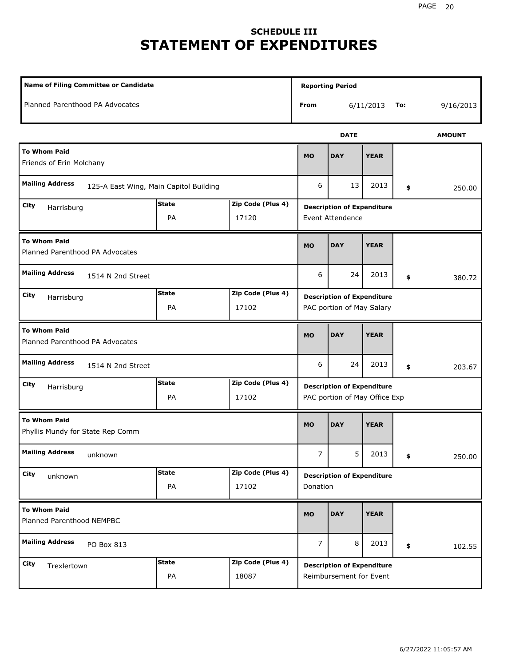### **SCHEDULE III STATEMENT OF EXPENDITURES**

| Name of Filing Committee or Candidate                                  |                    |                            |                |                                                                    | <b>Reporting Period</b> |     |               |  |  |
|------------------------------------------------------------------------|--------------------|----------------------------|----------------|--------------------------------------------------------------------|-------------------------|-----|---------------|--|--|
| Planned Parenthood PA Advocates                                        |                    |                            | From           |                                                                    | 6/11/2013               | To: | 9/16/2013     |  |  |
|                                                                        |                    |                            |                | <b>DATE</b>                                                        |                         |     | <b>AMOUNT</b> |  |  |
| <b>To Whom Paid</b><br>Friends of Erin Molchany                        |                    |                            | <b>MO</b>      | <b>DAY</b>                                                         | <b>YEAR</b>             |     |               |  |  |
| <b>Mailing Address</b><br>125-A East Wing, Main Capitol Building       |                    |                            | 6              | 13                                                                 | 2013                    | \$  | 250.00        |  |  |
| City<br>Harrisburg                                                     | <b>State</b><br>PA | Zip Code (Plus 4)<br>17120 |                | <b>Description of Expenditure</b><br><b>Event Attendence</b>       |                         |     |               |  |  |
| <b>To Whom Paid</b><br>Planned Parenthood PA Advocates                 |                    |                            |                | <b>DAY</b>                                                         | <b>YEAR</b>             |     |               |  |  |
| <b>Mailing Address</b><br>1514 N 2nd Street                            |                    |                            | 6              | 24                                                                 | 2013                    | \$  | 380.72        |  |  |
| <b>State</b><br>Zip Code (Plus 4)<br>City<br>Harrisburg<br>PA<br>17102 |                    |                            |                | <b>Description of Expenditure</b><br>PAC portion of May Salary     |                         |     |               |  |  |
| <b>To Whom Paid</b><br>Planned Parenthood PA Advocates                 |                    |                            | <b>MO</b>      | <b>DAY</b>                                                         | <b>YEAR</b>             |     |               |  |  |
| <b>Mailing Address</b><br>1514 N 2nd Street                            |                    |                            | 6              | 24                                                                 | 2013                    | \$  | 203.67        |  |  |
| City<br>Harrisburg                                                     | <b>State</b><br>PA | Zip Code (Plus 4)<br>17102 |                | <b>Description of Expenditure</b><br>PAC portion of May Office Exp |                         |     |               |  |  |
| <b>To Whom Paid</b><br>Phyllis Mundy for State Rep Comm                |                    |                            | <b>MO</b>      | <b>DAY</b>                                                         | <b>YEAR</b>             |     |               |  |  |
| <b>Mailing Address</b><br>unknown                                      |                    |                            | 7              | 5                                                                  | 2013                    | \$  | 250.00        |  |  |
| City<br>unknown                                                        | <b>State</b><br>PA | Zip Code (Plus 4)<br>17102 | Donation       | <b>Description of Expenditure</b>                                  |                         |     |               |  |  |
| <b>To Whom Paid</b><br>Planned Parenthood NEMPBC                       |                    |                            |                | <b>DAY</b>                                                         | <b>YEAR</b>             |     |               |  |  |
| <b>Mailing Address</b><br>PO Box 813                                   |                    |                            | $\overline{7}$ | 8                                                                  | 2013                    | \$  | 102.55        |  |  |
| City<br>Trexlertown                                                    | <b>State</b><br>PA | Zip Code (Plus 4)<br>18087 |                | <b>Description of Expenditure</b><br>Reimbursement for Event       |                         |     |               |  |  |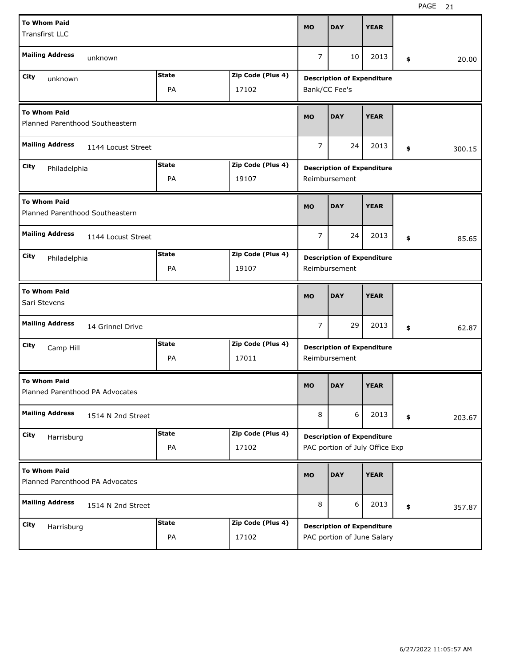| <b>To Whom Paid</b>                                       |              | <b>MO</b>         | <b>DAY</b>                        | <b>YEAR</b>                       |             |    |        |  |  |  |
|-----------------------------------------------------------|--------------|-------------------|-----------------------------------|-----------------------------------|-------------|----|--------|--|--|--|
| <b>Transfirst LLC</b>                                     |              |                   |                                   |                                   |             |    |        |  |  |  |
| <b>Mailing Address</b><br>unknown                         |              |                   | $\overline{7}$                    | 10                                | 2013        | \$ | 20.00  |  |  |  |
| City<br>unknown                                           | <b>State</b> | Zip Code (Plus 4) |                                   | <b>Description of Expenditure</b> |             |    |        |  |  |  |
|                                                           | PA           | 17102             |                                   | Bank/CC Fee's                     |             |    |        |  |  |  |
| <b>To Whom Paid</b><br>Planned Parenthood Southeastern    |              |                   | <b>MO</b>                         | <b>DAY</b>                        | <b>YEAR</b> |    |        |  |  |  |
| <b>Mailing Address</b><br>1144 Locust Street              |              |                   | $\overline{7}$                    | 24                                | 2013        | \$ | 300.15 |  |  |  |
| City<br>Philadelphia                                      | <b>State</b> | Zip Code (Plus 4) | <b>Description of Expenditure</b> |                                   |             |    |        |  |  |  |
|                                                           | PA           | 19107             |                                   | Reimbursement                     |             |    |        |  |  |  |
| <b>To Whom Paid</b><br>Planned Parenthood Southeastern    |              |                   |                                   |                                   | <b>YEAR</b> |    |        |  |  |  |
| <b>Mailing Address</b><br>1144 Locust Street              |              |                   |                                   |                                   | 2013        | \$ | 85.65  |  |  |  |
| <b>State</b><br>Zip Code (Plus 4)<br>City<br>Philadelphia |              |                   |                                   | <b>Description of Expenditure</b> |             |    |        |  |  |  |
|                                                           | PA           | 19107             |                                   | Reimbursement                     |             |    |        |  |  |  |
| <b>To Whom Paid</b><br>Sari Stevens                       |              |                   |                                   |                                   |             |    |        |  |  |  |
|                                                           |              |                   | <b>MO</b>                         | <b>DAY</b>                        | <b>YEAR</b> |    |        |  |  |  |
| <b>Mailing Address</b><br>14 Grinnel Drive                |              |                   | $\overline{7}$                    | 29                                | 2013        | \$ | 62.87  |  |  |  |
| City<br>Camp Hill                                         | <b>State</b> | Zip Code (Plus 4) |                                   | <b>Description of Expenditure</b> |             |    |        |  |  |  |
|                                                           | PA           | 17011             |                                   | Reimbursement                     |             |    |        |  |  |  |
| <b>To Whom Paid</b><br>Planned Parenthood PA Advocates    |              |                   | <b>MO</b>                         | <b>DAY</b>                        | <b>YEAR</b> |    |        |  |  |  |
| <b>Mailing Address</b><br>1514 N 2nd Street               |              |                   | 8                                 | 6                                 | 2013        | \$ | 203.67 |  |  |  |
| City<br>Harrisburg                                        | <b>State</b> | Zip Code (Plus 4) |                                   | <b>Description of Expenditure</b> |             |    |        |  |  |  |
|                                                           | PA           | 17102             |                                   | PAC portion of July Office Exp    |             |    |        |  |  |  |
| <b>To Whom Paid</b><br>Planned Parenthood PA Advocates    |              |                   | <b>MO</b>                         | <b>DAY</b>                        | <b>YEAR</b> |    |        |  |  |  |
| <b>Mailing Address</b><br>1514 N 2nd Street               |              |                   | 8                                 | 6                                 | 2013        | \$ | 357.87 |  |  |  |
| City<br>Harrisburg                                        | <b>State</b> | Zip Code (Plus 4) |                                   | <b>Description of Expenditure</b> |             |    |        |  |  |  |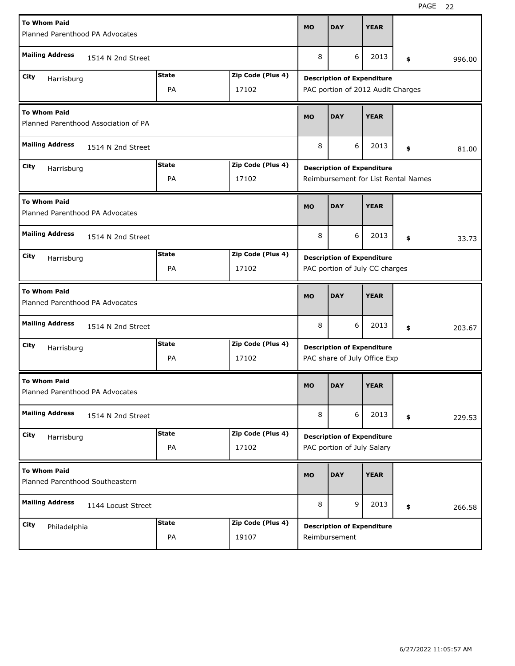| <b>To Whom Paid</b><br>Planned Parenthood PA Advocates  |                                      |              |                   | <b>MO</b> | <b>DAY</b>                                                        | <b>YEAR</b> |    |        |  |  |
|---------------------------------------------------------|--------------------------------------|--------------|-------------------|-----------|-------------------------------------------------------------------|-------------|----|--------|--|--|
| <b>Mailing Address</b>                                  | 1514 N 2nd Street                    |              |                   | 8         | 6                                                                 | 2013        | \$ | 996.00 |  |  |
| City                                                    |                                      | <b>State</b> | Zip Code (Plus 4) |           | <b>Description of Expenditure</b>                                 |             |    |        |  |  |
| Harrisburg                                              |                                      | PA           | 17102             |           | PAC portion of 2012 Audit Charges                                 |             |    |        |  |  |
| <b>To Whom Paid</b>                                     | Planned Parenthood Association of PA |              |                   | <b>MO</b> | <b>DAY</b>                                                        | <b>YEAR</b> |    |        |  |  |
| <b>Mailing Address</b>                                  | 1514 N 2nd Street                    |              |                   | 8         | 6                                                                 | 2013        | \$ | 81.00  |  |  |
| City<br>Harrisburg                                      |                                      | <b>State</b> | Zip Code (Plus 4) |           | <b>Description of Expenditure</b>                                 |             |    |        |  |  |
|                                                         |                                      | PA           | 17102             |           | Reimbursement for List Rental Names                               |             |    |        |  |  |
| <b>To Whom Paid</b>                                     | Planned Parenthood PA Advocates      |              |                   |           | <b>DAY</b>                                                        | <b>YEAR</b> |    |        |  |  |
| <b>Mailing Address</b>                                  | 1514 N 2nd Street                    |              |                   |           | 6                                                                 | 2013        | \$ | 33.73  |  |  |
| <b>State</b><br>Zip Code (Plus 4)<br>City<br>Harrisburg |                                      |              |                   |           | <b>Description of Expenditure</b>                                 |             |    |        |  |  |
|                                                         |                                      | PA           | 17102             |           | PAC portion of July CC charges                                    |             |    |        |  |  |
| <b>To Whom Paid</b><br>Planned Parenthood PA Advocates  |                                      |              |                   |           |                                                                   |             |    |        |  |  |
|                                                         |                                      |              |                   | <b>MO</b> | <b>DAY</b>                                                        | <b>YEAR</b> |    |        |  |  |
| <b>Mailing Address</b>                                  | 1514 N 2nd Street                    |              |                   | 8         | 6                                                                 | 2013        | \$ | 203.67 |  |  |
| City                                                    |                                      | <b>State</b> | Zip Code (Plus 4) |           |                                                                   |             |    |        |  |  |
| Harrisburg                                              |                                      | PA           | 17102             |           | <b>Description of Expenditure</b><br>PAC share of July Office Exp |             |    |        |  |  |
| <b>To Whom Paid</b><br>Planned Parenthood PA Advocates  |                                      |              |                   | MO        | <b>DAY</b>                                                        | <b>YEAR</b> |    |        |  |  |
| <b>Mailing Address</b>                                  | 1514 N 2nd Street                    |              |                   | 8         | 6                                                                 | 2013        | \$ | 229.53 |  |  |
| City                                                    |                                      | <b>State</b> | Zip Code (Plus 4) |           | <b>Description of Expenditure</b>                                 |             |    |        |  |  |
| Harrisburg                                              |                                      | PA           | 17102             |           | PAC portion of July Salary                                        |             |    |        |  |  |
| <b>To Whom Paid</b><br>Planned Parenthood Southeastern  |                                      |              |                   | <b>MO</b> | <b>DAY</b>                                                        | <b>YEAR</b> |    |        |  |  |
| <b>Mailing Address</b>                                  | 1144 Locust Street                   |              |                   | 8         | 9                                                                 | 2013        | \$ | 266.58 |  |  |
| City<br>Philadelphia                                    |                                      | <b>State</b> | Zip Code (Plus 4) |           | <b>Description of Expenditure</b>                                 |             |    |        |  |  |